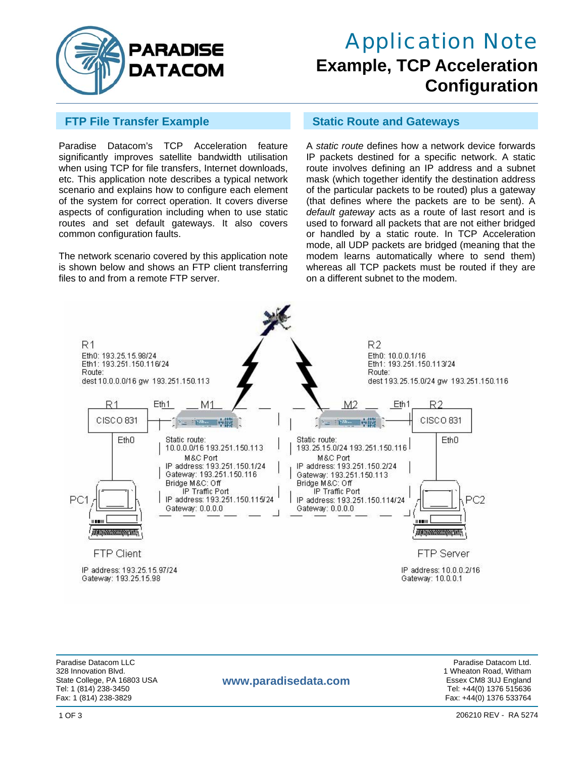

## Application Note **Example, TCP Acceleration Configuration**

Paradise Datacom's TCP Acceleration feature significantly improves satellite bandwidth utilisation when using TCP for file transfers, Internet downloads, etc. This application note describes a typical network scenario and explains how to configure each element of the system for correct operation. It covers diverse aspects of configuration including when to use static routes and set default gateways. It also covers common configuration faults.

The network scenario covered by this application note is shown below and shows an FTP client transferring files to and from a remote FTP server.

#### **FTP File Transfer Example Static Route and Gateways**

A *static route* defines how a network device forwards IP packets destined for a specific network. A static route involves defining an IP address and a subnet mask (which together identify the destination address of the particular packets to be routed) plus a gateway (that defines where the packets are to be sent). A *default gateway* acts as a route of last resort and is used to forward all packets that are not either bridged or handled by a static route. In TCP Acceleration mode, all UDP packets are bridged (meaning that the modem learns automatically where to send them) whereas all TCP packets must be routed if they are on a different subnet to the modem.



Paradise Datacom LLC Paradise Datacom Ltd. 328 Innovation Blvd. 1 Wheaton Road, Witham<br>1 Wheaton Road, Witham State College, PA 16803 USA Tel: 1 (814) 238-3450 Tel: +44(0) 1376 515636 Fax: 1 (814) 238-3829 Fax: +44(0) 1376 533764

#### State College, PA 16803 USA **WWW.paradisedata.com** Essex CM8 3UJ England Essex CM8 3UJ England

206210 REV - RA 5274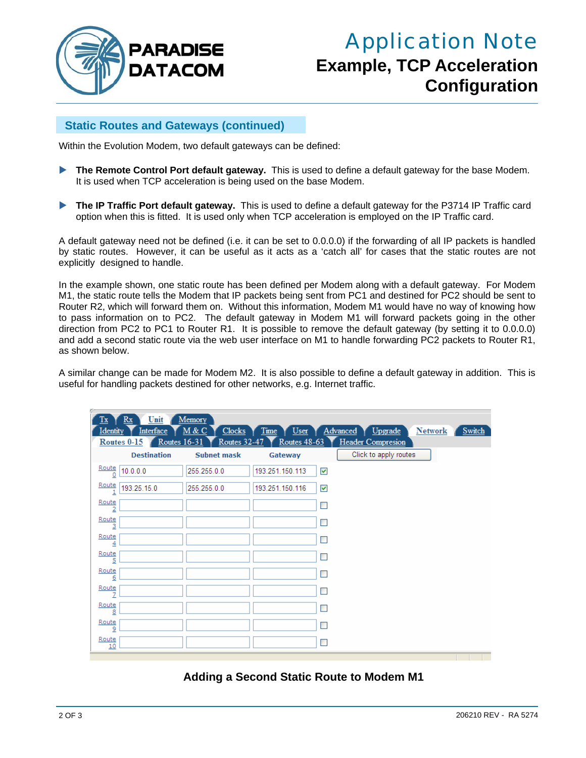

# Application Note **Example, TCP Acceleration Configuration**

### **Static Routes and Gateways (continued)**

Within the Evolution Modem, two default gateways can be defined:

- **The Remote Control Port default gateway.** This is used to define a default gateway for the base Modem. It is used when TCP acceleration is being used on the base Modem.
- **The IP Traffic Port default gateway.** This is used to define a default gateway for the P3714 IP Traffic card option when this is fitted. It is used only when TCP acceleration is employed on the IP Traffic card.

A default gateway need not be defined (i.e. it can be set to 0.0.0.0) if the forwarding of all IP packets is handled by static routes. However, it can be useful as it acts as a 'catch all' for cases that the static routes are not explicitly designed to handle.

In the example shown, one static route has been defined per Modem along with a default gateway. For Modem M1, the static route tells the Modem that IP packets being sent from PC1 and destined for PC2 should be sent to Router R2, which will forward them on. Without this information, Modem M1 would have no way of knowing how to pass information on to PC2. The default gateway in Modem M1 will forward packets going in the other direction from PC2 to PC1 to Router R1. It is possible to remove the default gateway (by setting it to 0.0.0.0) and add a second static route via the web user interface on M1 to handle forwarding PC2 packets to Router R1, as shown below.

A similar change can be made for Modem M2. It is also possible to define a default gateway in addition. This is useful for handling packets destined for other networks, e.g. Internet traffic.

| Unit<br>Tx<br>Rx                                                | Memory                |                 |                      |                                                               |                |               |
|-----------------------------------------------------------------|-----------------------|-----------------|----------------------|---------------------------------------------------------------|----------------|---------------|
| <b>Identity</b><br>Interface<br>Routes $16-31$<br>Routes $0-15$ | M & C<br>Routes 32-47 | Routes $48-63$  |                      | Clocks Time User Advanced Upgrade<br><b>Header Compresion</b> | <b>Network</b> | <b>Switch</b> |
| <b>Destination</b>                                              | <b>Subnet mask</b>    | Gateway         |                      | Click to apply routes                                         |                |               |
| Route<br>10.0.0.0                                               | 255.255.0.0           | 193.251.150.113 | $\blacktriangledown$ |                                                               |                |               |
| $rac{Rate}{1}$<br>193.25.15.0                                   | 255.255.0.0           | 193.251.150.116 | ▽                    |                                                               |                |               |
| Route                                                           |                       |                 |                      |                                                               |                |               |
| Route<br>3                                                      |                       |                 |                      |                                                               |                |               |
| Route<br>4                                                      |                       |                 | m.                   |                                                               |                |               |
| Route<br>5                                                      |                       |                 | $\blacksquare$       |                                                               |                |               |
| Route<br>6                                                      |                       |                 | □                    |                                                               |                |               |
| Route                                                           |                       |                 |                      |                                                               |                |               |
| Route<br>8                                                      |                       |                 |                      |                                                               |                |               |
| Route<br>9                                                      |                       |                 |                      |                                                               |                |               |
| Route<br>10                                                     |                       |                 |                      |                                                               |                |               |
|                                                                 |                       |                 |                      |                                                               |                |               |

### **Adding a Second Static Route to Modem M1**